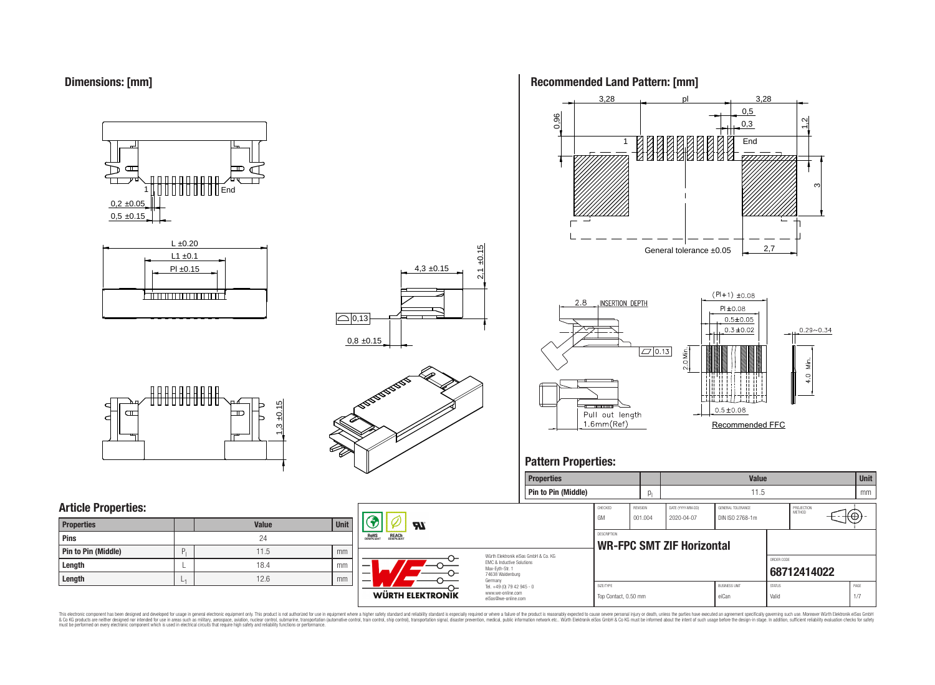



# **Article Properties:**

| <b>Properties</b>   |    | <b>Value</b> | <b>Unit</b> |
|---------------------|----|--------------|-------------|
| Pins                |    | 24           |             |
| Pin to Pin (Middle) | P  | 11.5         | mm          |
| Length              |    | 18.4         | mm          |
| Length              | -4 | 12.6         | mm          |



4,3 ±0.15

 $2,1 \pm 0.15$ 

### **Recommended Land Pattern: [mm]**



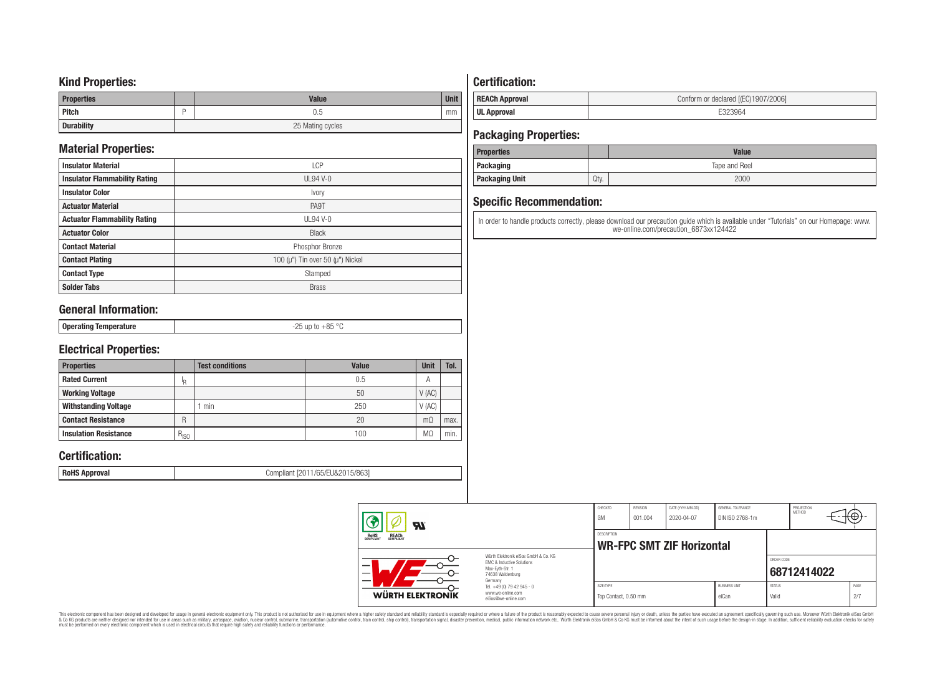### **Kind Properties:**

| <b>Properties</b> | <b>Value</b>     | <b>Unit</b> |  |  |  |
|-------------------|------------------|-------------|--|--|--|
| <b>Pitch</b>      | 0.5              | mm          |  |  |  |
| <b>Durability</b> | 25 Mating cycles |             |  |  |  |

# **Material Properties:**

| <b>Insulator Material</b>            | <b>LCP</b>                                   |
|--------------------------------------|----------------------------------------------|
| <b>Insulator Flammability Rating</b> | $UL94V-0$                                    |
| <b>Insulator Color</b>               | Ivory                                        |
| <b>Actuator Material</b>             | PA9T                                         |
| <b>Actuator Flammability Rating</b>  | UL94 V-0                                     |
| <b>Actuator Color</b>                | <b>Black</b>                                 |
| <b>Contact Material</b>              | Phosphor Bronze                              |
| <b>Contact Plating</b>               | 100 ( $\mu$ ") Tin over 50 ( $\mu$ ") Nickel |
| <b>Contact Type</b>                  | Stamped                                      |
| <b>Solder Tabs</b>                   | <b>Brass</b>                                 |

# **General Information:**

| . Onerating<br>O <sub>2</sub><br>aango lemberature -<br>ບບ<br>$ -$ |
|--------------------------------------------------------------------|
|--------------------------------------------------------------------|

# **Electrical Properties:**

| <b>Properties</b>            |           | <b>Test conditions</b> | Value | Unit           | Tol. |
|------------------------------|-----------|------------------------|-------|----------------|------|
| <b>Rated Current</b>         | םו        |                        | 0.5   | $\overline{A}$ |      |
| <b>Working Voltage</b>       |           |                        | 50    | V(AC)          |      |
| <b>Withstanding Voltage</b>  |           | min                    | 250   | V(AC)          |      |
| <b>Contact Resistance</b>    | R         |                        | 20    | $m\Omega$      | max. |
| <b>Insulation Resistance</b> | $R_{ISO}$ |                        | 100   | M <sub>2</sub> | min. |

# **Certification:**

**RoHS Approval RoHS Approval Compliant** [2011/65/EU&2015/863]

# **Certification:**

| <b>REACh Approval</b> | Conform or declared [(EC)1907/2006] |
|-----------------------|-------------------------------------|
| <b>UL Approval</b>    |                                     |

# **Packaging Properties:**

| <b>Properties</b>     |               | <b>Value</b> |  |  |  |
|-----------------------|---------------|--------------|--|--|--|
| Packaging             | Tape and Reel |              |  |  |  |
| <b>Packaging Unit</b> | Qty.          | 2000         |  |  |  |

# **Specific Recommendation:**

In order to handle products correctly, please download our precaution guide which is available under "Tutorials" on our Homepage: www. we-online.com/precaution\_6873xx124422

| WÜRTH ELEKTRONIK                                      | www.we-online.com<br>eiSos@we-online.com                                                                 | Top Contact, 0.50 mm |                            |                                  | eiCan                                | Valid         |                      | 2/7        |  |
|-------------------------------------------------------|----------------------------------------------------------------------------------------------------------|----------------------|----------------------------|----------------------------------|--------------------------------------|---------------|----------------------|------------|--|
|                                                       | Germany<br>Tel. +49 (0) 79 42 945 - 0                                                                    | SIZE/TYPE            |                            |                                  | <b>BUSINESS UNIT</b>                 | <b>STATUS</b> |                      | PAGE       |  |
|                                                       | Würth Elektronik eiSos GmbH & Co. KG<br>EMC & Inductive Solutions<br>Max-Evth-Str. 1<br>74638 Waldenburg |                      |                            |                                  |                                      | ORDER CODE    | 68712414022          |            |  |
| <b>ROHS</b><br>COMPLIANT<br><b>REACH</b><br>COMPLIANT |                                                                                                          | <b>DESCRIPTION</b>   |                            | <b>WR-FPC SMT ZIF Horizontal</b> |                                      |               |                      |            |  |
| <b>R</b>                                              |                                                                                                          | CHECKED<br>GM        | <b>REVISION</b><br>001.004 | DATE (YYYY-MM-DD)<br>2020-04-07  | GENERAL TOLERANCE<br>DIN ISO 2768-1m |               | PROJECTION<br>METHOD | $\Theta$ ) |  |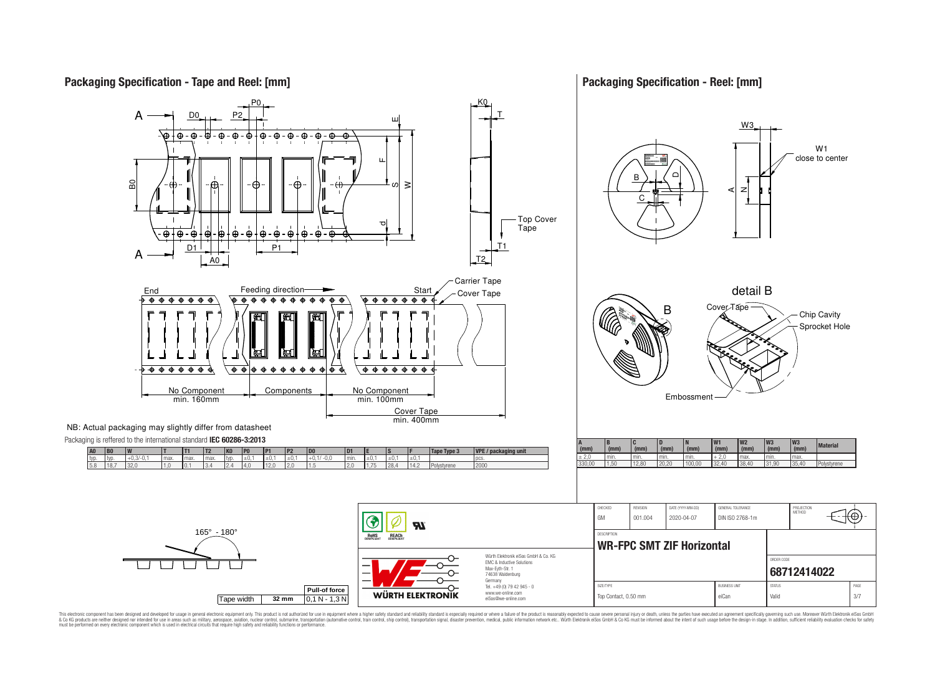

### **Packaging Specification - Reel: [mm]**



This electronic component has been designed and developed for usage in general electronic equipment only. This product is not authorized for use in equipment where a higher safely standard and reliability standard si espec & Ook product a label and the membed of the seasuch as marked and as which such a membed and the such assume that income in the seasuch and the simulation and the such assume that include to the such a membed and the such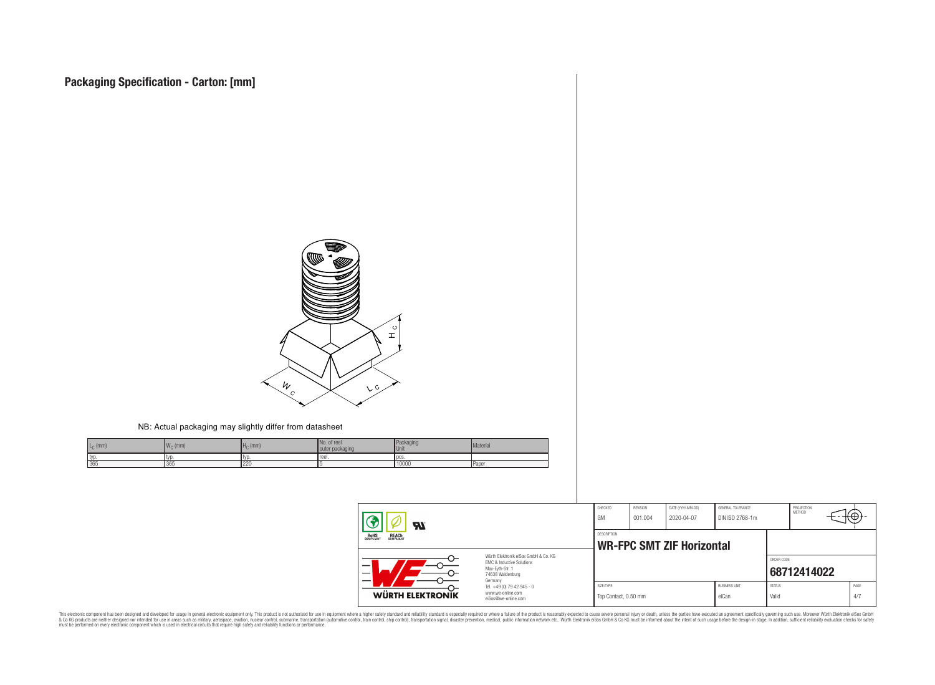

#### NB: Actual packaging may slightly differ from datasheet

| $L_{\cap}$ (mm) | $\mathbf{M}$<br>$W_{\cap}$ (mm) | $HC$ (mm) | No. of reel<br>outer packaging | Packaging<br>Unit | Material |
|-----------------|---------------------------------|-----------|--------------------------------|-------------------|----------|
| typ             | I TVI                           | l tvr     | reel.                          | <b>LDCS</b>       |          |
| 365             | 365                             | 220       |                                | 10000             | Paper    |

| $\boldsymbol{\mathcal{H}}$                            |                                                                                                                     | CHECKED<br>GM                     | REVISION<br>001.004 | DATE (YYYY-MM-DD)<br>2020-04-07  | GENERAL TOLERANCE<br>DIN ISO 2768-1m |                        | PROJECTION<br>METHOD | τΨ          |  |
|-------------------------------------------------------|---------------------------------------------------------------------------------------------------------------------|-----------------------------------|---------------------|----------------------------------|--------------------------------------|------------------------|----------------------|-------------|--|
| <b>ROHS</b><br>COMPLIANT<br><b>REACH</b><br>COMPLIANT |                                                                                                                     | DESCRIPTION                       |                     | <b>WR-FPC SMT ZIF Horizontal</b> |                                      |                        |                      |             |  |
| $\overline{\phantom{0}}$                              | Würth Elektronik eiSos GmbH & Co. KG<br>FMC & Inductive Solutions<br>Max-Eyth-Str. 1<br>74638 Waldenburg<br>Germany |                                   |                     |                                  |                                      | ORDER CODE             | 68712414022          |             |  |
| WÜRTH ELEKTRONIK                                      | Tel. +49 (0) 79 42 945 - 0<br>www.we-online.com<br>eiSos@we-online.com                                              | SIZE/TYPE<br>Top Contact, 0.50 mm |                     |                                  | <b>BUSINESS UNIT</b><br>eiCan        | <b>STATUS</b><br>Valid |                      | PAGE<br>4/7 |  |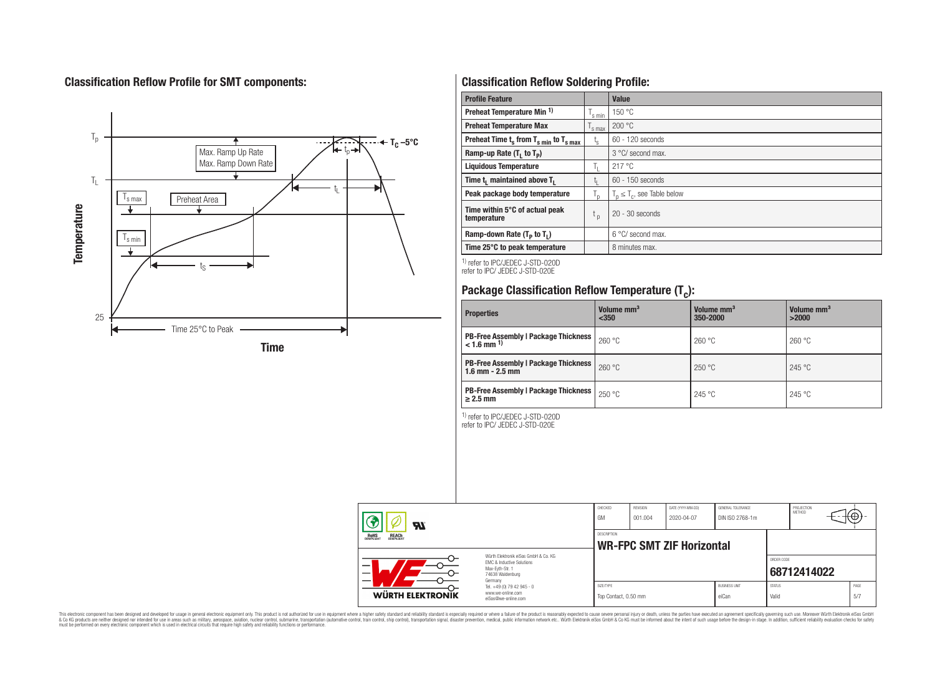# **Classification Reflow Profile for SMT components:**



# **Classification Reflow Soldering Profile:**

| <b>Profile Feature</b>                              |                    | Value                            |
|-----------------------------------------------------|--------------------|----------------------------------|
| Preheat Temperature Min <sup>1)</sup>               | <sup>I</sup> s min | 150 °C                           |
| <b>Preheat Temperature Max</b>                      | 's max             | 200 °C                           |
| Preheat Time $t_s$ from $T_{s min}$ to $T_{s max}$  | $t_{\rm s}$        | $60 - 120$ seconds               |
| Ramp-up Rate $(T_1$ to $T_p$ )                      |                    | 3 °C/ second max.                |
| <b>Liquidous Temperature</b>                        | Ь.                 | 217 °C                           |
| Time t <sub>1</sub> maintained above T <sub>1</sub> | ь.                 | $60 - 150$ seconds               |
| Peak package body temperature                       | l n                | $T_n \leq T_c$ , see Table below |
| Time within 5°C of actual peak<br>temperature       | t <sub>p</sub>     | $20 - 30$ seconds                |
| Ramp-down Rate $(T_p$ to $T_1$ )                    |                    | $6^{\circ}$ C/ second max.       |
| Time 25°C to peak temperature                       |                    | 8 minutes max.                   |

1) refer to IPC/JEDEC J-STD-020D refer to IPC/ JEDEC J-STD-020E

# **Package Classification Reflow Temperature (T<sup>c</sup> ):**

| <b>Properties</b>                                                         | Volume mm <sup>3</sup><br>$350$ | Volume mm <sup>3</sup><br>350-2000 | Volume mm <sup>3</sup><br>>2000 |
|---------------------------------------------------------------------------|---------------------------------|------------------------------------|---------------------------------|
| <b>PB-Free Assembly   Package Thickness  </b><br>$< 1.6$ mm <sup>1)</sup> | 260 °C                          | 260 °C                             | 260 °C                          |
| <b>PB-Free Assembly   Package Thickness  </b><br>$1.6$ mm $- 2.5$ mm      | 260 °C                          | 250 °C                             | 245 °C                          |
| <b>PB-Free Assembly   Package Thickness  </b><br>$\geq$ 2.5 mm            | 250 °C                          | 245 °C                             | 245 °C                          |

1) refer to IPC/JEDEC J-STD-020D

refer to IPC/ JEDEC J-STD-020E

| Яï                                                                                                                            |                                                                        | CHECKED<br>GM                                   | <b>REVISION</b><br>001.004 | DATE (YYYY-MM-DD)<br>2020-04-07 | GENERAL TOLERANCE<br>DIN ISO 2768-1m |                        | PROJECTION<br>METHOD | ₩Ψ          |  |
|-------------------------------------------------------------------------------------------------------------------------------|------------------------------------------------------------------------|-------------------------------------------------|----------------------------|---------------------------------|--------------------------------------|------------------------|----------------------|-------------|--|
| <b>REACH</b><br>COMPLIANT<br><b>ROHS</b><br>COMPLIANT                                                                         |                                                                        | DESCRIPTION<br><b>WR-FPC SMT ZIF Horizontal</b> |                            |                                 |                                      |                        |                      |             |  |
| Würth Flektronik eiSos GmbH & Co. KG<br>EMC & Inductive Solutions<br>–<br>Max-Evth-Str. 1<br>-<br>74638 Waldenburg<br>Germany |                                                                        |                                                 |                            |                                 | ORDER CODE                           | 68712414022            |                      |             |  |
| WÜRTH ELEKTRONIK                                                                                                              | Tel. +49 (0) 79 42 945 - 0<br>www.we-online.com<br>eiSos@we-online.com | SIZE/TYPE<br>Top Contact, 0.50 mm               |                            |                                 | <b>BUSINESS UNIT</b><br>eiCan        | <b>STATUS</b><br>Valid |                      | PAGE<br>5/7 |  |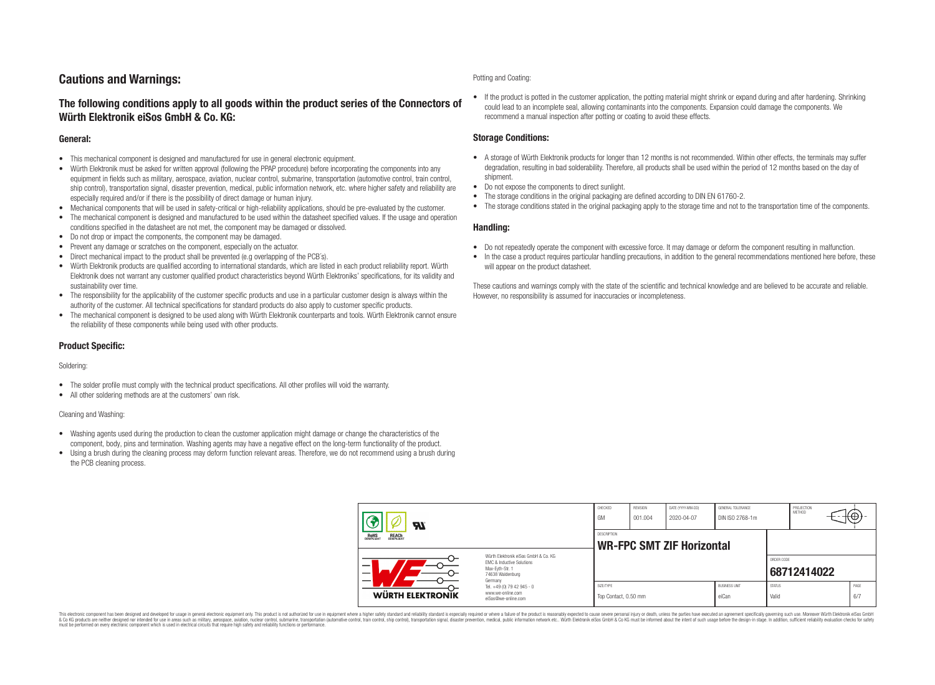# **Cautions and Warnings:**

### **The following conditions apply to all goods within the product series of the Connectors of Würth Elektronik eiSos GmbH & Co. KG:**

#### **General:**

- This mechanical component is designed and manufactured for use in general electronic equipment.
- Würth Elektronik must be asked for written approval (following the PPAP procedure) before incorporating the components into any equipment in fields such as military, aerospace, aviation, nuclear control, submarine, transportation (automotive control, train control, ship control), transportation signal, disaster prevention, medical, public information network, etc. where higher safety and reliability are especially required and/or if there is the possibility of direct damage or human injury.
- Mechanical components that will be used in safety-critical or high-reliability applications, should be pre-evaluated by the customer.
- The mechanical component is designed and manufactured to be used within the datasheet specified values. If the usage and operation conditions specified in the datasheet are not met, the component may be damaged or dissolved.
- Do not drop or impact the components, the component may be damaged.
- Prevent any damage or scratches on the component, especially on the actuator.
- Direct mechanical impact to the product shall be prevented (e.g overlapping of the PCB's).
- Würth Elektronik products are qualified according to international standards, which are listed in each product reliability report. Würth Elektronik does not warrant any customer qualified product characteristics beyond Würth Elektroniks' specifications, for its validity and sustainability over time.
- The responsibility for the applicability of the customer specific products and use in a particular customer design is always within the authority of the customer. All technical specifications for standard products do also apply to customer specific products.
- The mechanical component is designed to be used along with Würth Elektronik counterparts and tools. Würth Elektronik cannot ensure the reliability of these components while being used with other products.

#### **Product Specific:**

#### Soldering:

- The solder profile must comply with the technical product specifications. All other profiles will void the warranty.
- All other soldering methods are at the customers' own risk.

#### Cleaning and Washing:

- Washing agents used during the production to clean the customer application might damage or change the characteristics of the component, body, pins and termination. Washing agents may have a negative effect on the long-term functionality of the product.
- Using a brush during the cleaning process may deform function relevant areas. Therefore, we do not recommend using a brush during the PCB cleaning process.

#### Potting and Coating:

• If the product is potted in the customer application, the potting material might shrink or expand during and after hardening. Shrinking could lead to an incomplete seal, allowing contaminants into the components. Expansion could damage the components. We recommend a manual inspection after potting or coating to avoid these effects.

#### **Storage Conditions:**

- A storage of Würth Elektronik products for longer than 12 months is not recommended. Within other effects, the terminals may suffer degradation, resulting in bad solderability. Therefore, all products shall be used within the period of 12 months based on the day of shipment.
- Do not expose the components to direct sunlight.
- The storage conditions in the original packaging are defined according to DIN EN 61760-2.
- The storage conditions stated in the original packaging apply to the storage time and not to the transportation time of the components.

#### **Handling:**

- Do not repeatedly operate the component with excessive force. It may damage or deform the component resulting in malfunction.
- In the case a product requires particular handling precautions, in addition to the general recommendations mentioned here before, these will appear on the product datasheet.

These cautions and warnings comply with the state of the scientific and technical knowledge and are believed to be accurate and reliable. However, no responsibility is assumed for inaccuracies or incompleteness.

| Hī                                             |                                                                                                                     | CHECKED<br>GM                     | REVISION<br>001.004                                    | DATE (YYYY-MM-DD)<br>2020-04-07 | GENERAL TOLERANCE<br>DIN ISO 2768-1m |                        | PROJECTION<br><b>METHOD</b> |  | ₩           |  |
|------------------------------------------------|---------------------------------------------------------------------------------------------------------------------|-----------------------------------|--------------------------------------------------------|---------------------------------|--------------------------------------|------------------------|-----------------------------|--|-------------|--|
| ROHS<br>COMPLIANT<br><b>REACH</b><br>COMPLIANT |                                                                                                                     |                                   | <b>DESCRIPTION</b><br><b>WR-FPC SMT ZIF Horizontal</b> |                                 |                                      |                        |                             |  |             |  |
| –                                              | Würth Flektronik eiSos GmbH & Co. KG<br>FMC & Inductive Solutions<br>Max-Eyth-Str. 1<br>74638 Waldenburg<br>Germany |                                   |                                                        |                                 |                                      | ORDER CODE             | 68712414022                 |  |             |  |
| WÜRTH ELEKTRONIK                               | Tel. +49 (0) 79 42 945 - 0<br>www.we-online.com<br>eiSos@we-online.com                                              | SIZE/TYPE<br>Top Contact, 0.50 mm |                                                        |                                 | <b>BUSINESS UNIT</b><br>eiCan        | <b>STATUS</b><br>Valid |                             |  | PAGE<br>6/7 |  |

This electronic component has been designed and developed for usage in general electronic equipment only. This product is not authorized for use in equipment where a higher safety standard and reliability standard si espec & Ook product a label and the membed of the seasuch as marked and as which such a membed and the such assume that income in the seasuch and the simulation and the such assume that include to the such a membed and the such